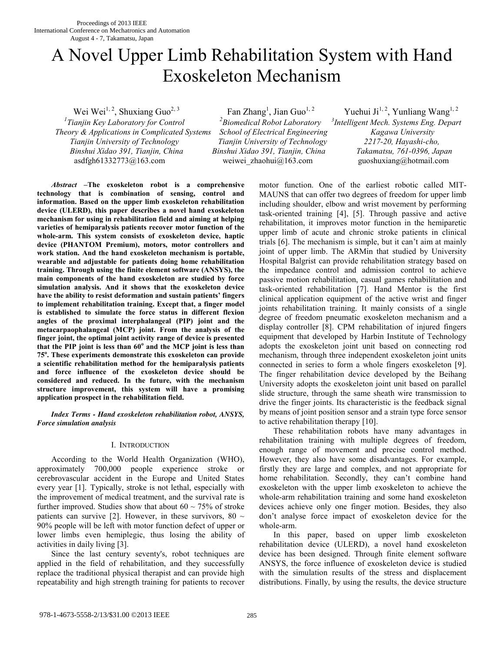# A Novel Upper Limb Rehabilitation System with Hand Exoskeleton Mechanism

*1 Tianjin Key Laboratory for Control <sup>2</sup> Theory & Applications in Complicated Systems School of Electrical Engineering Kagawa University Tianjin University of Technology Tianjin University of Technology 2217-20, Hayashi-cho, Binshui Xidao 391, Tianjin, China Binshui Xidao 391, Tianjin, China Takamatsu, 761-0396, Japan* asdfgh61332773@163.comweiwei\_zhaohui@163.comguoshuxiang@hotmail.com

Wei Wei<sup>1, 2</sup>, Shuxiang Guo<sup>2, 3</sup> Fan Zhang<sup>1</sup>, Jian Guo<sup>1, 2</sup> *Biomedical Robot Laboratory <sup>3</sup>*

Yuehui Ji<sup>1, 2</sup>, Yunliang Wang<sup>1, 2</sup> *Intelligent Mech. Systems Eng. Depart* 

*Abstract* **–The exoskeleton robot is a comprehensive technology that is combination of sensing, control and information. Based on the upper limb exoskeleton rehabilitation device (ULERD), this paper describes a novel hand exoskeleton mechanism for using in rehabilitation field and aiming at helping varieties of hemiparalysis patients recover motor function of the whole-arm. This system consists of exoskeleton device, haptic device (PHANTOM Premium), motors, motor controllers and work station. And the hand exoskeleton mechanism is portable, wearable and adjustable for patients doing home rehabilitation training. Through using the finite element software (ANSYS), the main components of the hand exoskeleton are studied by force simulation analysis. And it shows that the exoskeleton device have the ability to resist deformation and sustain patients' fingers to implement rehabilitation training. Except that, a finger model is established to simulate the force status in different flexion angles of the proximal interphalangeal (PIP) joint and the metacarpaophalangeal (MCP) joint. From the analysis of the finger joint, the optimal joint activity range of device is presented that the PIP joint is less than 60<sup>o</sup> and the MCP joint is less than 75<sup>o</sup> . These experiments demonstrate this exoskeleton can provide a scientific rehabilitation method for the hemiparalysis patients and force influence of the exoskeleton device should be considered and reduced. In the future, with the mechanism structure improvement, this system will have a promising application prospect in the rehabilitation field.** 

*Index Terms - Hand exoskeleton rehabilitation robot, ANSYS, Force simulation analysis* 

### I. INTRODUCTION

According to the World Health Organization (WHO), approximately 700,000 people experience stroke or cerebrovascular accident in the Europe and United States every year [1]. Typically, stroke is not lethal, especially with the improvement of medical treatment, and the survival rate is further improved. Studies show that about  $60 \sim 75\%$  of stroke patients can survive [2]. However, in these survivors, 80  $\sim$ 90% people will be left with motor function defect of upper or lower limbs even hemiplegic, thus losing the ability of activities in daily living [3].

Since the last century seventy's, robot techniques are applied in the field of rehabilitation, and they successfully replace the traditional physical therapist and can provide high repeatability and high strength training for patients to recover motor function. One of the earliest robotic called MIT-MAUNS that can offer two degrees of freedom for upper limb including shoulder, elbow and wrist movement by performing task-oriented training [4], [5]. Through passive and active rehabilitation, it improves motor function in the hemiparetic upper limb of acute and chronic stroke patients in clinical trials [6]. The mechanism is simple, but it can't aim at mainly joint of upper limb. The ARMin that studied by University Hospital Balgrist can provide rehabilitation strategy based on the impedance control and admission control to achieve passive motion rehabilitation, casual games rehabilitation and task-oriented rehabilitation [7]. Hand Mentor is the first clinical application equipment of the active wrist and finger joints rehabilitation training. It mainly consists of a single degree of freedom pneumatic exoskeleton mechanism and a display controller [8]. CPM rehabilitation of injured fingers equipment that developed by Harbin Institute of Technology adopts the exoskeleton joint unit based on connecting rod mechanism, through three independent exoskeleton joint units connected in series to form a whole fingers exoskeleton [9]. The finger rehabilitation device developed by the Beihang University adopts the exoskeleton joint unit based on parallel slide structure, through the same sheath wire transmission to drive the finger joints. Its characteristic is the feedback signal by means of joint position sensor and a strain type force sensor to active rehabilitation therapy [10].

These rehabilitation robots have many advantages in rehabilitation training with multiple degrees of freedom, enough range of movement and precise control method. However, they also have some disadvantages. For example, firstly they are large and complex, and not appropriate for home rehabilitation. Secondly, they can't combine hand exoskeleton with the upper limb exoskeleton to achieve the whole-arm rehabilitation training and some hand exoskeleton devices achieve only one finger motion. Besides, they also don't analyse force impact of exoskeleton device for the whole-arm.

In this paper, based on upper limb exoskeleton rehabilitation device (ULERD), a novel hand exoskeleton device has been designed. Through finite element software ANSYS, the force influence of exoskeleton device is studied with the simulation results of the stress and displacement distributions. Finally, by using the results, the device structure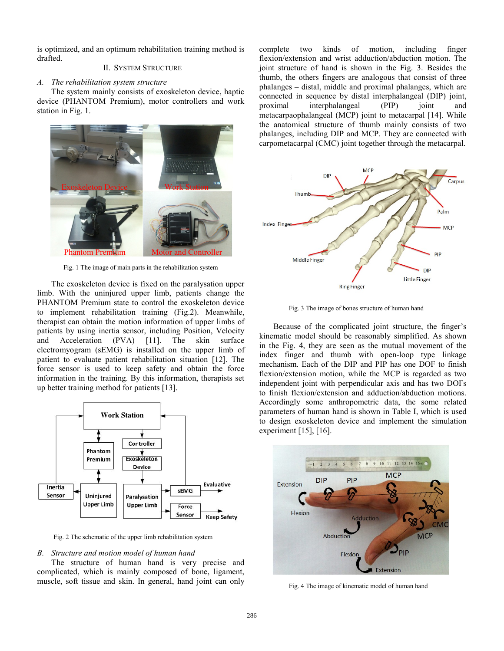is optimized, and an optimum rehabilitation training method is drafted.

## II. SYSTEM STRUCTURE

#### *A. The rehabilitation system structure*

The system mainly consists of exoskeleton device, haptic device (PHANTOM Premium), motor controllers and work station in Fig. 1.



Fig. 1 The image of main parts in the rehabilitation system

The exoskeleton device is fixed on the paralysation upper limb. With the uninjured upper limb, patients change the PHANTOM Premium state to control the exoskeleton device to implement rehabilitation training (Fig.2). Meanwhile, therapist can obtain the motion information of upper limbs of patients by using inertia sensor, including Position, Velocity and Acceleration (PVA) [11]. The skin surface electromyogram (sEMG) is installed on the upper limb of patient to evaluate patient rehabilitation situation [12]. The force sensor is used to keep safety and obtain the force information in the training. By this information, therapists set up better training method for patients [13].



Fig. 2 The schematic of the upper limb rehabilitation system

#### *B. Structure and motion model of human hand*

The structure of human hand is very precise and complicated, which is mainly composed of bone, ligament, muscle, soft tissue and skin. In general, hand joint can only complete two kinds of motion, including finger flexion/extension and wrist adduction/abduction motion. The joint structure of hand is shown in the Fig. 3. Besides the thumb, the others fingers are analogous that consist of three phalanges – distal, middle and proximal phalanges, which are connected in sequence by distal interphalangeal (DIP) joint, proximal interphalangeal (PIP) joint and metacarpaophalangeal (MCP) joint to metacarpal [14]. While the anatomical structure of thumb mainly consists of two phalanges, including DIP and MCP. They are connected with carpometacarpal (CMC) joint together through the metacarpal.



Fig. 3 The image of bones structure of human hand

Because of the complicated joint structure, the finger's kinematic model should be reasonably simplified. As shown in the Fig. 4, they are seen as the mutual movement of the index finger and thumb with open-loop type linkage mechanism. Each of the DIP and PIP has one DOF to finish flexion/extension motion, while the MCP is regarded as two independent joint with perpendicular axis and has two DOFs to finish flexion/extension and adduction/abduction motions. Accordingly some anthropometric data, the some related parameters of human hand is shown in Table I, which is used to design exoskeleton device and implement the simulation experiment [15], [16].



Fig. 4 The image of kinematic model of human hand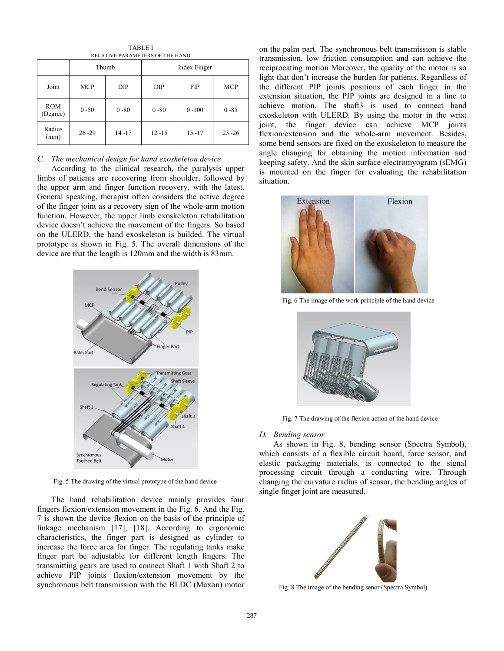| <u>KEEAH VE LAKAMEIEKS VI THE HAND</u> |            |           |              |           |            |
|----------------------------------------|------------|-----------|--------------|-----------|------------|
|                                        | Thumb      |           | Index Finger |           |            |
| Joint                                  | <b>MCP</b> | DIP       | DIP          | PIP       | <b>MCP</b> |
| <b>ROM</b><br>(Degree)                 | $0 - 50$   | $0 - 80$  | $0 - 80$     | $0 - 100$ | $0 - 85$   |
| Radius<br>(mm)                         | $26 - 29$  | $14 - 17$ | $12 - 15$    | $15 - 17$ | $23 - 26$  |

TABLE I *DELATIVE PAPAMETERS OF THE HAND* 

## *C. The mechanical design for hand exoskeleton device*

According to the clinical research, the paralysis upper limbs of patients are recovering from shoulder, followed by the upper arm and finger function recovery, with the latest. General speaking, therapist often considers the active degree of the finger joint as a recovery sign of the whole-arm motion function. However, the upper limb exoskeleton rehabilitation device doesn't achieve the movement of the fingers. So based on the ULERD, the hand exoskeleton is builded. The virtual prototype is shown in Fig. 5. The overall dimensions of the device are that the length is 120mm and the width is 83mm.



Fig. 5 The drawing of the virtual prototype of the hand device

The hand rehabilitation device mainly provides four fingers flexion/extension movement in the Fig. 6. And the Fig. 7 is shown the device flexion on the basis of the principle of linkage mechanism [17], [18]. According to ergonomic characteristics, the finger part is designed as cylinder to increase the force area for finger. The regulating tanks make finger part be adjustable for different length fingers. The transmitting gears are used to connect Shaft 1 with Shaft 2 to achieve PIP joints flexion/extension movement by the synchronous belt transmission with the BLDC (Maxon) motor

on the palm part. The synchronous belt transmission is stable transmission, low friction consumption and can achieve the reciprocating motion Moreover, the quality of the motor is so light that don't increase the burden for patients. Regardless of the different PIP joints positions of each finger in the extension situation, the PIP joints are designed in a line to achieve motion. The shaft3 is used to connect hand exoskeleton with ULERD. By using the motor in the wrist joint, the finger device can achieve MCP joints flexion/extension and the whole-arm movement. Besides, some bend sensors are fixed on the exoskeleton to measure the angle changing for obtaining the motion information and keeping safety. And the skin surface electromyogram (sEMG) is mounted on the finger for evaluating the rehabilitation situation.



Fig. 6 The image of the work principle of the hand device



Fig. 7 The drawing of the flexion action of the hand device

#### *D. Bending sensor*

As shown in Fig. 8, bending sensor (Spectra Symbol), which consists of a flexible circuit board, force sensor, and elastic packaging materials, is connected to the signal processing circuit through a conducting wire. Through changing the curvature radius of sensor, the bending angles of single finger joint are measured.



Fig. 8 The image of the bending senor (Spectra Symbol)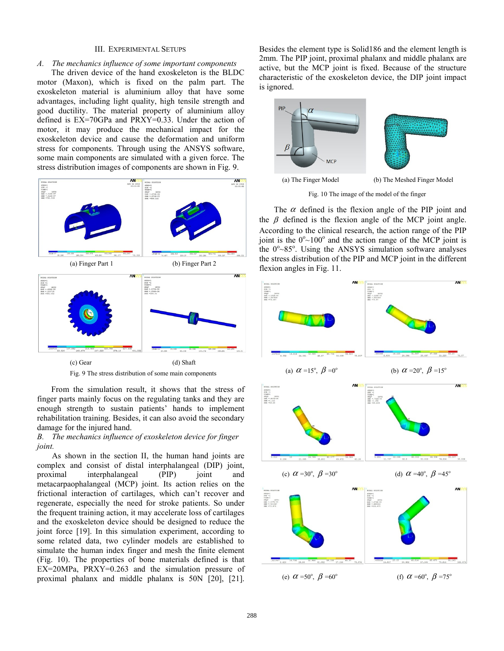#### III. EXPERIMENTAL SETUPS

## *A. The mechanics influence of some important components*

The driven device of the hand exoskeleton is the BLDC motor (Maxon), which is fixed on the palm part. The exoskeleton material is aluminium alloy that have some advantages, including light quality, high tensile strength and good ductility. The material property of aluminium alloy defined is EX=70GPa and PRXY=0.33. Under the action of motor, it may produce the mechanical impact for the exoskeleton device and cause the deformation and uniform stress for components. Through using the ANSYS software, some main components are simulated with a given force. The stress distribution images of components are shown in Fig. 9.



From the simulation result, it shows that the stress of finger parts mainly focus on the regulating tanks and they are enough strength to sustain patients' hands to implement

rehabilitation training. Besides, it can also avoid the secondary damage for the injured hand. *B. The mechanics influence of exoskeleton device for finger joint.* 

As shown in the section II, the human hand joints are complex and consist of distal interphalangeal (DIP) joint, proximal interphalangeal (PIP) joint and metacarpaophalangeal (MCP) joint. Its action relies on the frictional interaction of cartilages, which can't recover and regenerate, especially the need for stroke patients. So under the frequent training action, it may accelerate loss of cartilages and the exoskeleton device should be designed to reduce the joint force [19]. In this simulation experiment, according to some related data, two cylinder models are established to simulate the human index finger and mesh the finite element (Fig. 10). The properties of bone materials defined is that EX=20MPa, PRXY=0.263 and the simulation pressure of proximal phalanx and middle phalanx is 50N [20], [21].

Besides the element type is Solid186 and the element length is 2mm. The PIP joint, proximal phalanx and middle phalanx are active, but the MCP joint is fixed. Because of the structure characteristic of the exoskeleton device, the DIP joint impact is ignored.



Fig. 10 The image of the model of the finger

The  $\alpha$  defined is the flexion angle of the PIP joint and the  $\beta$  defined is the flexion angle of the MCP joint angle. According to the clinical research, the action range of the PIP joint is the  $0^{\circ}$ ~100° and the action range of the MCP joint is the  $0^{\circ}$ ~85°. Using the ANSYS simulation software analyses the stress distribution of the PIP and MCP joint in the different flexion angles in Fig. 11.

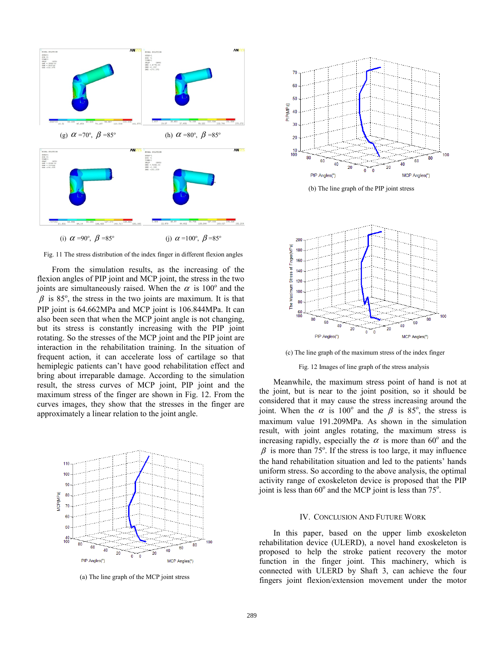



From the simulation results, as the increasing of the flexion angles of PIP joint and MCP joint, the stress in the two joints are simultaneously raised. When the  $\alpha$  is 100° and the  $\beta$  is 85°, the stress in the two joints are maximum. It is that PIP joint is 64.662MPa and MCP joint is 106.844MPa. It can also been seen that when the MCP joint angle is not changing, but its stress is constantly increasing with the PIP joint rotating. So the stresses of the MCP joint and the PIP joint are interaction in the rehabilitation training. In the situation of frequent action, it can accelerate loss of cartilage so that hemiplegic patients can't have good rehabilitation effect and bring about irreparable damage. According to the simulation result, the stress curves of MCP joint, PIP joint and the maximum stress of the finger are shown in Fig. 12. From the curves images, they show that the stresses in the finger are approximately a linear relation to the joint angle.



(a) The line graph of the MCP joint stress



(b) The line graph of the PIP joint stress



(c) The line graph of the maximum stress of the index finger

Fig. 12 Images of line graph of the stress analysis

Meanwhile, the maximum stress point of hand is not at the joint, but is near to the joint position, so it should be considered that it may cause the stress increasing around the joint. When the  $\alpha$  is 100<sup>°</sup> and the  $\beta$  is 85<sup>°</sup>, the stress is maximum value 191.209MPa. As shown in the simulation result, with joint angles rotating, the maximum stress is increasing rapidly, especially the  $\alpha$  is more than 60° and the  $\beta$  is more than 75°. If the stress is too large, it may influence the hand rehabilitation situation and led to the patients' hands uniform stress. So according to the above analysis, the optimal activity range of exoskeleton device is proposed that the PIP joint is less than  $60^\circ$  and the MCP joint is less than  $75^\circ$ .

#### IV. CONCLUSION AND FUTURE WORK

In this paper, based on the upper limb exoskeleton rehabilitation device (ULERD), a novel hand exoskeleton is proposed to help the stroke patient recovery the motor function in the finger joint. This machinery, which is connected with ULERD by Shaft 3, can achieve the four fingers joint flexion/extension movement under the motor